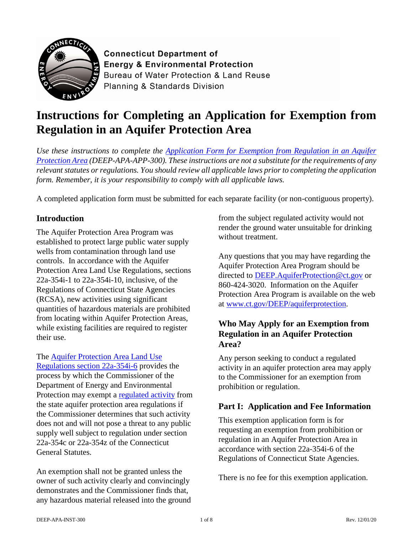

**Connecticut Department of Enerav & Environmental Protection** Bureau of Water Protection & Land Reuse Planning & Standards Division

# **Instructions for Completing an Application for Exemption from Regulation in an Aquifer Protection Area**

*Use these instructions to complete the [Application Form for Exemption from Regulation in an Aquifer](https://portal.ct.gov/-/media/DEEP/Permits_and_Licenses/Land_Use_Permits/Aquifer_Protection_Permits/APAexemptappdoc.doc)  [Protection Area](https://portal.ct.gov/-/media/DEEP/Permits_and_Licenses/Land_Use_Permits/Aquifer_Protection_Permits/APAexemptappdoc.doc) (DEEP-APA-APP-300). These instructions are not a substitute for the requirements of any relevant statutes or regulations. You should review all applicable laws prior to completing the application form. Remember, it is your responsibility to comply with all applicable laws.*

A completed application form must be submitted for each separate facility (or non-contiguous property).

# **Introduction**

The Aquifer Protection Area Program was established to protect large public water supply wells from contamination through land use controls. In accordance with the Aquifer Protection Area Land Use Regulations, sections 22a-354i-1 to 22a-354i-10, inclusive, of the Regulations of Connecticut State Agencies (RCSA), new activities using significant quantities of hazardous materials are prohibited from locating within Aquifer Protection Areas, while existing facilities are required to register their use.

#### The [Aquifer Protection Area Land Use](https://eregulations.ct.gov/eRegsPortal/Browse/RCSA/Title_22aSubtitle_22a-354iSection_22a-354i-6/)

[Regulations section 22a-354i-6](https://eregulations.ct.gov/eRegsPortal/Browse/RCSA/Title_22aSubtitle_22a-354iSection_22a-354i-6/) provides the process by which the Commissioner of the Department of Energy and Environmental Protection may exempt a [regulated activity](https://eregulations.ct.gov/eRegsPortal/Browse/RCSA/Title_22aSubtitle_22a-354iSection_22a-354i-1/) from the state aquifer protection area regulations if the Commissioner determines that such activity does not and will not pose a threat to any public supply well subject to regulation under section 22a-354c or 22a-354z of the Connecticut General Statutes.

An exemption shall not be granted unless the owner of such activity clearly and convincingly demonstrates and the Commissioner finds that, any hazardous material released into the ground from the subject regulated activity would not render the ground water unsuitable for drinking without treatment.

Any questions that you may have regarding the Aquifer Protection Area Program should be directed to [DEEP.AquiferProtection@ct.gov](mailto:DEEP.AquiferProtection@ct.gov) or 860-424-3020. Information on the Aquifer Protection Area Program is available on the web at [www.ct.gov/DEEP/aquiferprotection.](http://www.ct.gov/deep/aquiferprotection)

# **Who May Apply for an Exemption from Regulation in an Aquifer Protection Area?**

Any person seeking to conduct a regulated activity in an aquifer protection area may apply to the Commissioner for an exemption from prohibition or regulation.

# **Part I: Application and Fee Information**

This exemption application form is for requesting an exemption from prohibition or regulation in an Aquifer Protection Area in accordance with section 22a-354i-6 of the Regulations of Connecticut State Agencies.

There is no fee for this exemption application.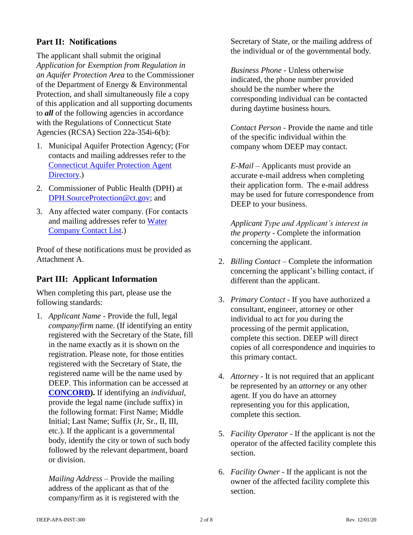# **Part II: Notifications**

The applicant shall submit the original *Application for Exemption from Regulation in an Aquifer Protection Area* to the Commissioner of the Department of Energy & Environmental Protection, and shall simultaneously file a copy of this application and all supporting documents to *all* of the following agencies in accordance with the Regulations of Connecticut State Agencies (RCSA) Section 22a-354i-6(b):

- 1. Municipal Aquifer Protection Agency; (For contacts and mailing addresses refer to the [Connecticut Aquifer Protection Agent](https://portal.ct.gov/-/media/DEEP/aquifer_protection/AP-Agency-Directory-10_5_2020.pdf)  [Directory.](https://portal.ct.gov/-/media/DEEP/aquifer_protection/AP-Agency-Directory-10_5_2020.pdf))
- 2. Commissioner of Public Health (DPH) at [DPH.SourceProtection@ct.gov;](mailto:DPH.SourceProtection@ct.gov) and
- 3. Any affected water company. (For contacts and mailing addresses refer to [Water](https://portal.ct.gov/-/media/DEEP/aquifer_protection/wtrcocontactlistpdf.pdf)  [Company Contact List.](https://portal.ct.gov/-/media/DEEP/aquifer_protection/wtrcocontactlistpdf.pdf))

Proof of these notifications must be provided as Attachment A.

# **Part III: Applicant Information**

When completing this part, please use the following standards:

1. *Applicant Name* - Provide the full, legal *company/firm* name. (If identifying an entity registered with the Secretary of the State, fill in the name exactly as it is shown on the registration. Please note, for those entities registered with the Secretary of State, the registered name will be the name used by DEEP. This information can be accessed at **[CONCORD\)](https://www.concord-sots.ct.gov/CONCORD/).** If identifying an *individual*, provide the legal name (include suffix) in the following format: First Name; Middle Initial; Last Name; Suffix (Jr, Sr., II, III, etc.). If the applicant is a governmental body, identify the city or town of such body followed by the relevant department, board or division.

*Mailing Address* – Provide the mailing address of the applicant as that of the company/firm as it is registered with the Secretary of State, or the mailing address of the individual or of the governmental body.

*Business Phone* - Unless otherwise indicated, the phone number provided should be the number where the corresponding individual can be contacted during daytime business hours.

*Contact Person* - Provide the name and title of the specific individual within the company whom DEEP may contact.

*E-Mail* – Applicants must provide an accurate e-mail address when completing their application form. The e-mail address may be used for future correspondence from DEEP to your business.

*Applicant Type and Applicant's interest in the property* - Complete the information concerning the applicant.

- 2. *Billing Contact* Complete the information concerning the applicant's billing contact, if different than the applicant.
- 3. *Primary Contact* If you have authorized a consultant, engineer, attorney or other individual to act for *you* during the processing of the permit application, complete this section. DEEP will direct copies of all correspondence and inquiries to this primary contact.
- 4. *Attorney* It is not required that an applicant be represented by an *attorney* or any other agent. If you do have an attorney representing you for this application, complete this section.
- 5. *Facility Operator* If the applicant is not the operator of the affected facility complete this section.
- 6. *Facility Owner* If the applicant is not the owner of the affected facility complete this section.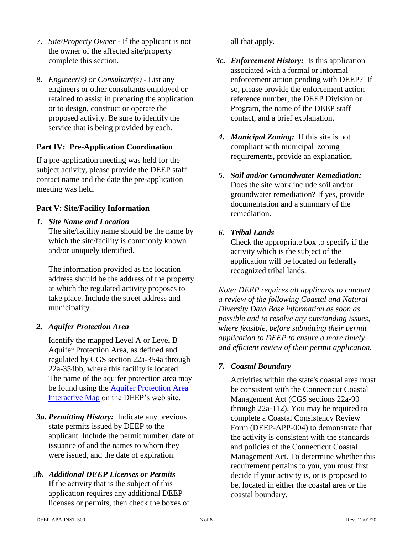- 7. *Site/Property Owner* If the applicant is not the owner of the affected site/property complete this section.
- 8. *Engineer(s) or Consultant(s)* List any engineers or other consultants employed or retained to assist in preparing the application or to design, construct or operate the proposed activity. Be sure to identify the service that is being provided by each.

## **Part IV: Pre-Application Coordination**

If a pre-application meeting was held for the subject activity, please provide the DEEP staff contact name and the date the pre-application meeting was held.

#### **Part V: Site/Facility Information**

*1. Site Name and Location*

The site/facility name should be the name by which the site/facility is commonly known and/or uniquely identified.

The information provided as the location address should be the address of the property at which the regulated activity proposes to take place. Include the street address and municipality.

#### *2. Aquifer Protection Area*

Identify the mapped Level A or Level B Aquifer Protection Area, as defined and regulated by CGS section 22a-354a through 22a-354bb, where this facility is located. The name of the aquifer protection area may be found using the [Aquifer Protection Area](https://portal.ct.gov/DEEP/Aquifer-Protection-and-Groundwater/Aquifer-Protection/Aquifer-Protection-Program)  [Interactive Map](https://portal.ct.gov/DEEP/Aquifer-Protection-and-Groundwater/Aquifer-Protection/Aquifer-Protection-Program) on the DEEP's web site.

- *3a. Permitting History:* Indicate any previous state permits issued by DEEP to the applicant. Include the permit number, date of issuance of and the names to whom they were issued, and the date of expiration.
- *3b. Additional DEEP Licenses or Permits* If the activity that is the subject of this application requires any additional DEEP licenses or permits, then check the boxes of

all that apply.

- *3c. Enforcement History:* Is this application associated with a formal or informal enforcement action pending with DEEP? If so, please provide the enforcement action reference number, the DEEP Division or Program, the name of the DEEP staff contact, and a brief explanation.
- *4. Municipal Zoning:* If this site is not compliant with municipal zoning requirements, provide an explanation.
- *5. Soil and/or Groundwater Remediation:* Does the site work include soil and/or groundwater remediation? If yes, provide documentation and a summary of the remediation.
- *6. Tribal Lands*

Check the appropriate box to specify if the activity which is the subject of the application will be located on federally recognized tribal lands.

*Note: DEEP requires all applicants to conduct a review of the following Coastal and Natural Diversity Data Base information as soon as possible and to resolve any outstanding issues, where feasible, before submitting their permit application to DEEP to ensure a more timely and efficient review of their permit application.*

# *7. Coastal Boundary*

Activities within the state's coastal area must be consistent with the Connecticut Coastal Management Act (CGS sections 22a-90 through 22a-112). You may be required to complete a Coastal Consistency Review Form (DEEP-APP-004) to demonstrate that the activity is consistent with the standards and policies of the Connecticut Coastal Management Act. To determine whether this requirement pertains to you, you must first decide if your activity is, or is proposed to be, located in either the coastal area or the coastal boundary.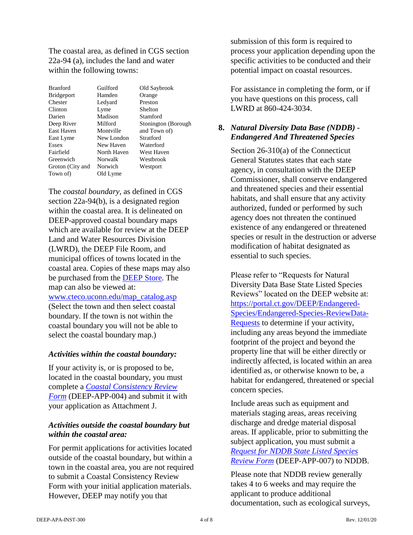The coastal area, as defined in CGS section 22a-94 (a), includes the land and water within the following towns:

| Guilford<br>Hamden | Old Saybrook<br>Orange |
|--------------------|------------------------|
|                    |                        |
|                    |                        |
| Ledyard            | Preston                |
| Lyme               | Shelton                |
| Madison            | Stamford               |
| Milford            | Stonington (Borough)   |
| Montville          | and Town of)           |
| New London         | Stratford              |
| New Haven          | Waterford              |
| North Haven        | West Haven             |
| Norwalk            | Westbrook              |
| Norwich            | Westport               |
| Old Lyme           |                        |
|                    |                        |

The *coastal boundary*, as defined in CGS section 22a-94(b), is a designated region within the coastal area. It is delineated on DEEP-approved coastal boundary maps which are available for review at the DEEP Land and Water Resources Division (LWRD), the DEEP File Room, and municipal offices of towns located in the coastal area. Copies of these maps may also be purchased from the [DEEP Store.](https://portal.ct.gov/DEEP/About/DEEP-Bookstore/The-DEEP-Store-Maps-and-Publications) The map can also be viewed at: [www.cteco.uconn.edu/map\\_catalog.asp](http://www.cteco.uconn.edu/map_catalog.asp) (Select the town and then select coastal

boundary. If the town is not within the coastal boundary you will not be able to select the coastal boundary map.)

#### *Activities within the coastal boundary:*

If your activity is, or is proposed to be, located in the coastal boundary, you must complete a *[Coastal Consistency Review](https://portal.ct.gov/DEEP/Permits-and-Licenses/Common-Forms#CoastalConsistency)  [Form](https://portal.ct.gov/DEEP/Permits-and-Licenses/Common-Forms#CoastalConsistency)* (DEEP-APP-004) and submit it with your application as Attachment J.

#### *Activities outside the coastal boundary but within the coastal area:*

For permit applications for activities located outside of the coastal boundary, but within a town in the coastal area, you are not required to submit a Coastal Consistency Review Form with your initial application materials. However, DEEP may notify you that

submission of this form is required to process your application depending upon the specific activities to be conducted and their potential impact on coastal resources.

For assistance in completing the form, or if you have questions on this process, call LWRD at 860-424-3034.

#### **8.** *Natural Diversity Data Base (NDDB) - Endangered And Threatened Species*

Section 26-310(a) of the Connecticut General Statutes states that each state agency, in consultation with the DEEP Commissioner, shall conserve endangered and threatened species and their essential habitats, and shall ensure that any activity authorized, funded or performed by such agency does not threaten the continued existence of any endangered or threatened species or result in the destruction or adverse modification of habitat designated as essential to such species.

Please refer to "Requests for Natural Diversity Data Base State Listed Species Reviews" located on the DEEP website at: [https://portal.ct.gov/DEEP/Endangered-](https://portal.ct.gov/DEEP/Endangered-Species/Endangered-Species-ReviewData-Requests)[Species/Endangered-Species-ReviewData-](https://portal.ct.gov/DEEP/Endangered-Species/Endangered-Species-ReviewData-Requests)[Requests](https://portal.ct.gov/DEEP/Endangered-Species/Endangered-Species-ReviewData-Requests) to determine if your activity, including any areas beyond the immediate footprint of the project and beyond the property line that will be either directly or indirectly affected, is located within an area identified as, or otherwise known to be, a habitat for endangered, threatened or special concern species.

Include areas such as equipment and materials staging areas, areas receiving discharge and dredge material disposal areas. If applicable, prior to submitting the subject application, you must submit a *[Request for NDDB State Listed Species](https://portal.ct.gov/DEEP/Endangered-Species/Endangered-Species-ReviewData-Requests)  [Review Form](https://portal.ct.gov/DEEP/Endangered-Species/Endangered-Species-ReviewData-Requests)* (DEEP-APP-007) to NDDB.

Please note that NDDB review generally takes 4 to 6 weeks and may require the applicant to produce additional documentation, such as ecological surveys,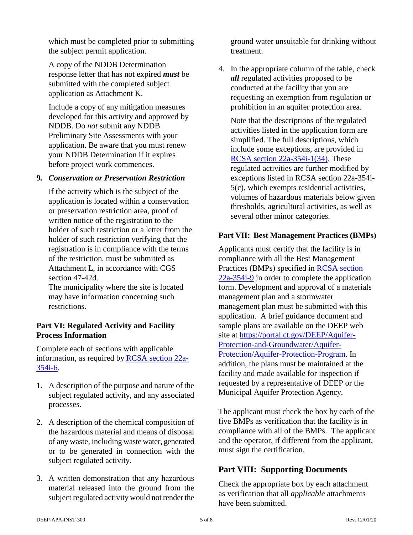which must be completed prior to submitting the subject permit application.

A copy of the NDDB Determination response letter that has not expired *must* be submitted with the completed subject application as Attachment K.

Include a copy of any mitigation measures developed for this activity and approved by NDDB. Do *not* submit any NDDB Preliminary Site Assessments with your application. Be aware that you must renew your NDDB Determination if it expires before project work commences.

#### **9***. Conservation or Preservation Restriction*

If the activity which is the subject of the application is located within a conservation or preservation restriction area, proof of written notice of the registration to the holder of such restriction or a letter from the holder of such restriction verifying that the registration is in compliance with the terms of the restriction, must be submitted as Attachment L, in accordance with CGS section 47-42d.

The municipality where the site is located may have information concerning such restrictions.

#### **Part VI: Regulated Activity and Facility Process Information**

Complete each of sections with applicable information, as required by [RCSA section 22a-](https://eregulations.ct.gov/eRegsPortal/Browse/RCSA/Title_22aSubtitle_22a-354iSection_22a-354i-6/)[354i-6.](https://eregulations.ct.gov/eRegsPortal/Browse/RCSA/Title_22aSubtitle_22a-354iSection_22a-354i-6/)

- 1. A description of the purpose and nature of the subject regulated activity, and any associated processes.
- 2. A description of the chemical composition of the hazardous material and means of disposal of any waste, including waste water, generated or to be generated in connection with the subject regulated activity.
- 3. A written demonstration that any hazardous material released into the ground from the subject regulated activity would not render the

ground water unsuitable for drinking without treatment.

4. In the appropriate column of the table, check *all* regulated activities proposed to be conducted at the facility that you are requesting an exemption from regulation or prohibition in an aquifer protection area.

Note that the descriptions of the regulated activities listed in the application form are simplified. The full descriptions, which include some exceptions, are provided in [RCSA section 22a-354i-1\(34\).](https://eregulations.ct.gov/eRegsPortal/Browse/RCSA/Title_22aSubtitle_22a-354iSection_22a-354i-1/) These regulated activities are further modified by exceptions listed in RCSA section 22a-354i-5(c), which exempts residential activities, volumes of hazardous materials below given thresholds, agricultural activities, as well as several other minor categories.

#### **Part VII: Best Management Practices (BMPs)**

Applicants must certify that the facility is in compliance with all the Best Management Practices (BMPs) specified in [RCSA section](https://eregulations.ct.gov/eRegsPortal/Browse/RCSA/Title_22aSubtitle_22a-354iSection_22a-354i-9/)  [22a-354i-9](https://eregulations.ct.gov/eRegsPortal/Browse/RCSA/Title_22aSubtitle_22a-354iSection_22a-354i-9/) in order to complete the application form. Development and approval of a materials management plan and a stormwater management plan must be submitted with this application. A brief guidance document and sample plans are available on the DEEP web site at [https://portal.ct.gov/DEEP/Aquifer-](https://portal.ct.gov/DEEP/Aquifer-Protection-and-Groundwater/Aquifer-Protection/Aquifer-Protection-Program)[Protection-and-Groundwater/Aquifer-](https://portal.ct.gov/DEEP/Aquifer-Protection-and-Groundwater/Aquifer-Protection/Aquifer-Protection-Program)[Protection/Aquifer-Protection-Program.](https://portal.ct.gov/DEEP/Aquifer-Protection-and-Groundwater/Aquifer-Protection/Aquifer-Protection-Program) In addition, the plans must be maintained at the facility and made available for inspection if requested by a representative of DEEP or the Municipal Aquifer Protection Agency.

The applicant must check the box by each of the five BMPs as verification that the facility is in compliance with all of the BMPs. The applicant and the operator, if different from the applicant, must sign the certification.

#### **Part VIII: Supporting Documents**

Check the appropriate box by each attachment as verification that all *applicable* attachments have been submitted.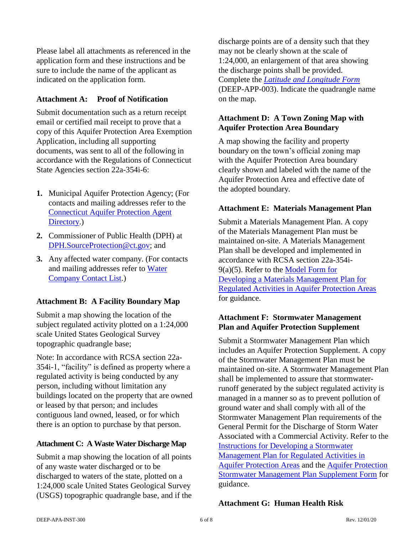Please label all attachments as referenced in the application form and these instructions and be sure to include the name of the applicant as indicated on the application form.

## **Attachment A: Proof of Notification**

Submit documentation such as a return receipt email or certified mail receipt to prove that a copy of this Aquifer Protection Area Exemption Application, including all supporting documents, was sent to all of the following in accordance with the Regulations of Connecticut State Agencies section 22a-354i-6:

- **1.** Municipal Aquifer Protection Agency; (For contacts and mailing addresses refer to the [Connecticut Aquifer Protection Agent](https://portal.ct.gov/-/media/DEEP/aquifer_protection/AP-Agency-Directory-10_5_2020.pdf)  [Directory.](https://portal.ct.gov/-/media/DEEP/aquifer_protection/AP-Agency-Directory-10_5_2020.pdf))
- **2.** Commissioner of Public Health (DPH) at [DPH.SourceProtection@ct.gov;](mailto:DPH.SourceProtection@ct.gov) and
- **3.** Any affected water company. (For contacts and mailing addresses refer to [Water](https://portal.ct.gov/-/media/DEEP/aquifer_protection/wtrcocontactlistpdf.pdf)  [Company Contact List.](https://portal.ct.gov/-/media/DEEP/aquifer_protection/wtrcocontactlistpdf.pdf))

#### **Attachment B: A Facility Boundary Map**

Submit a map showing the location of the subject regulated activity plotted on a 1:24,000 scale United States Geological Survey topographic quadrangle base;

Note: In accordance with RCSA section 22a-354i-1, "facility" is defined as property where a regulated activity is being conducted by any person, including without limitation any buildings located on the property that are owned or leased by that person; and includes contiguous land owned, leased, or for which there is an option to purchase by that person.

#### **Attachment C: A Waste Water Discharge Map**

Submit a map showing the location of all points of any waste water discharged or to be discharged to waters of the state, plotted on a 1:24,000 scale United States Geological Survey (USGS) topographic quadrangle base, and if the discharge points are of a density such that they may not be clearly shown at the scale of 1:24,000, an enlargement of that area showing the discharge points shall be provided. Complete the *[Latitude and Longitude Form](https://portal.ct.gov/-/media/DEEP/Permits_and_Licenses/Common_Forms/latlongdoc.doc?la=en)* (DEEP-APP-003). Indicate the quadrangle name on the map.

## **Attachment D: A Town Zoning Map with Aquifer Protection Area Boundary**

A map showing the facility and property boundary on the town's official zoning map with the Aquifer Protection Area boundary clearly shown and labeled with the name of the Aquifer Protection Area and effective date of the adopted boundary.

#### **Attachment E: Materials Management Plan**

Submit a Materials Management Plan. A copy of the Materials Management Plan must be maintained on-site. A Materials Management Plan shall be developed and implemented in accordance with RCSA section 22a-354i-9(a)(5). Refer to the [Model Form for](https://portal.ct.gov/-/media/DEEP/aquifer_protection/municipal_manual/ModelMaterialsManagementPlandoc.doc)  [Developing a Materials Management Plan for](https://portal.ct.gov/-/media/DEEP/aquifer_protection/municipal_manual/ModelMaterialsManagementPlandoc.doc)  [Regulated Activities in Aquifer Protection Areas](https://portal.ct.gov/-/media/DEEP/aquifer_protection/municipal_manual/ModelMaterialsManagementPlandoc.doc) for guidance.

#### **Attachment F: Stormwater Management Plan and Aquifer Protection Supplement**

Submit a Stormwater Management Plan which includes an Aquifer Protection Supplement. A copy of the Stormwater Management Plan must be maintained on-site. A Stormwater Management Plan shall be implemented to assure that stormwaterrunoff generated by the subject regulated activity is managed in a manner so as to prevent pollution of ground water and shall comply with all of the Stormwater Management Plan requirements of the General Permit for the Discharge of Storm Water Associated with a Commercial Activity. Refer to the [Instructions for Developing a Stormwater](https://portal.ct.gov/-/media/DEEP/aquifer_protection/modelstormwatermgmtplandoc.doc)  [Management Plan for Regulated Activities in](https://portal.ct.gov/-/media/DEEP/aquifer_protection/modelstormwatermgmtplandoc.doc)  Aquifer [Protection Areas](https://portal.ct.gov/-/media/DEEP/aquifer_protection/modelstormwatermgmtplandoc.doc) and the [Aquifer Protection](https://portal.ct.gov/-/media/DEEP/aquifer_protection/apstormwatersupplementdoc.doc)  [Stormwater Management Plan Supplement Form](https://portal.ct.gov/-/media/DEEP/aquifer_protection/apstormwatersupplementdoc.doc) for guidance.

#### **Attachment G: Human Health Risk**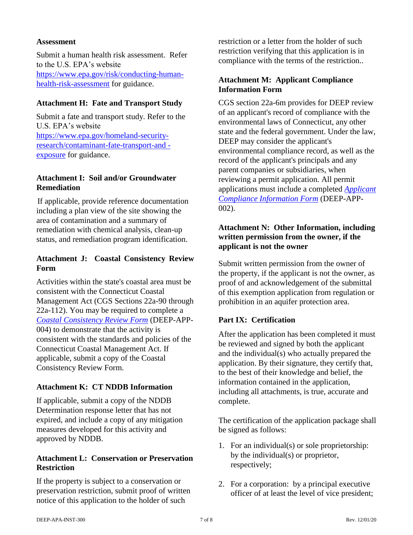#### **Assessment**

Submit a human health risk assessment. Refer to the U.S. EPA's website [https://www.epa.gov/risk/conducting-human](https://www.epa.gov/risk/conducting-human-health-risk-assessment)[health-risk-assessment](https://www.epa.gov/risk/conducting-human-health-risk-assessment) for guidance.

#### **Attachment H: Fate and Transport Study**

Submit a fate and transport study. Refer to the U.S. EPA's website [https://www.epa.gov/homeland-security](https://www.epa.gov/homeland-security-research/contaminant-fate-transport-and)[research/contaminant-fate-transport-and](https://www.epa.gov/homeland-security-research/contaminant-fate-transport-and)  [exposure](https://www.epa.gov/homeland-security-research/contaminant-fate-transport-and) for guidance.

#### **Attachment I: Soil and/or Groundwater Remediation**

If applicable, provide reference documentation including a plan view of the site showing the area of contamination and a summary of remediation with chemical analysis, clean-up status, and remediation program identification.

## **Attachment J: Coastal Consistency Review Form**

Activities within the state's coastal area must be consistent with the Connecticut Coastal Management Act (CGS Sections 22a-90 through 22a-112). You may be required to complete a *[Coastal Consistency Review Form](https://portal.ct.gov/-/media/DEEP/Permits_and_Licenses/Common_Forms/coastalreviewappdoc.doc?la=en)* (DEEP-APP-004) to demonstrate that the activity is consistent with the standards and policies of the Connecticut Coastal Management Act. If applicable, submit a copy of the Coastal Consistency Review Form.

# **Attachment K: CT NDDB Information**

If applicable, submit a copy of the NDDB Determination response letter that has not expired, and include a copy of any mitigation measures developed for this activity and approved by NDDB.

#### **Attachment L: Conservation or Preservation Restriction**

If the property is subject to a conservation or preservation restriction, submit proof of written notice of this application to the holder of such

restriction or a letter from the holder of such restriction verifying that this application is in compliance with the terms of the restriction..

## **Attachment M: Applicant Compliance Information Form**

CGS section 22a-6m provides for DEEP review of an applicant's record of compliance with the environmental laws of Connecticut, any other state and the federal government. Under the law, DEEP may consider the applicant's environmental compliance record, as well as the record of the applicant's principals and any parent companies or subsidiaries, when reviewing a permit application. All permit applications must include a completed *[Applicant](https://portal.ct.gov/-/media/DEEP/Permits_and_Licenses/Common_Forms/complianceformdoc.doc?la=en)  [Compliance Information Form](https://portal.ct.gov/-/media/DEEP/Permits_and_Licenses/Common_Forms/complianceformdoc.doc?la=en)* (DEEP-APP-002).

## **Attachment N: Other Information, including written permission from the owner, if the applicant is not the owner**

Submit written permission from the owner of the property, if the applicant is not the owner, as proof of and acknowledgement of the submittal of this exemption application from regulation or prohibition in an aquifer protection area.

# **Part IX: Certification**

After the application has been completed it must be reviewed and signed by both the applicant and the individual(s) who actually prepared the application. By their signature, they certify that, to the best of their knowledge and belief, the information contained in the application, including all attachments, is true, accurate and complete.

The certification of the application package shall be signed as follows:

- 1. For an individual(s) or sole proprietorship: by the individual(s) or proprietor, respectively;
- 2. For a corporation: by a principal executive officer of at least the level of vice president;